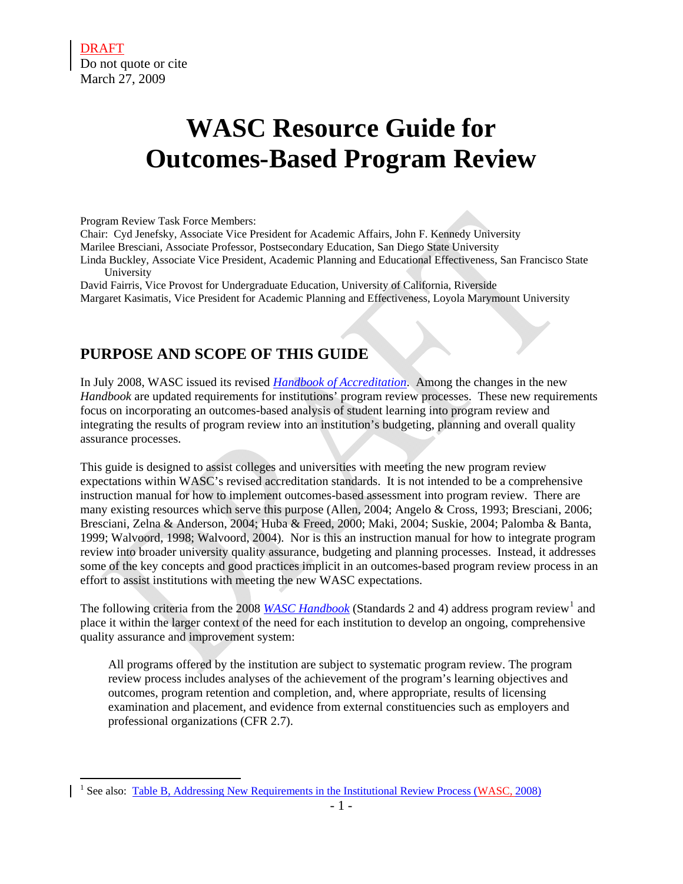$\overline{a}$ 

# **WASC Resource Guide for Outcomes-Based Program Review**

#### Program Review Task Force Members:

Chair: Cyd Jenefsky, Associate Vice President for Academic Affairs, John F. Kennedy University

Marilee Bresciani, Associate Professor, Postsecondary Education, San Diego State University

Linda Buckley, Associate Vice President, Academic Planning and Educational Effectiveness, San Francisco State University

David Fairris, Vice Provost for Undergraduate Education, University of California, Riverside Margaret Kasimatis, Vice President for Academic Planning and Effectiveness, Loyola Marymount University

# **PURPOSE AND SCOPE OF THIS GUIDE**

In July 2008, WASC issued its revised *[Handbook of Accreditation](http://www.wascsenior.org/findit/files/forms/Handbook_of_Accreditation_2008_with_hyperlinks.pdf)*. Among the changes in the new *Handbook* are updated requirements for institutions' program review processes. These new requirements focus on incorporating an outcomes-based analysis of student learning into program review and integrating the results of program review into an institution's budgeting, planning and overall quality assurance processes.

This guide is designed to assist colleges and universities with meeting the new program review expectations within WASC's revised accreditation standards. It is not intended to be a comprehensive instruction manual for how to implement outcomes-based assessment into program review. There are many existing resources which serve this purpose (Allen, 2004; Angelo & Cross, 1993; Bresciani, 2006; Bresciani, Zelna & Anderson, 2004; Huba & Freed, 2000; Maki, 2004; Suskie, 2004; Palomba & Banta, 1999; Walvoord, 1998; Walvoord, 2004). Nor is this an instruction manual for how to integrate program review into broader university quality assurance, budgeting and planning processes. Instead, it addresses some of the key concepts and good practices implicit in an outcomes-based program review process in an effort to assist institutions with meeting the new WASC expectations.

The following criteria from the 2008 *[WASC Handbook](http://www.wascsenior.org/findit/files/forms/Handbook_of_Accreditation_2008_with_hyperlinks.pdf)* (Standards 2 and 4) address program review<sup>[1](#page-0-0)</sup> and place it within the larger context of the need for each institution to develop an ongoing, comprehensive quality assurance and improvement system:

All programs offered by the institution are subject to systematic program review. The program review process includes analyses of the achievement of the program's learning objectives and outcomes, program retention and completion, and, where appropriate, results of licensing examination and placement, and evidence from external constituencies such as employers and professional organizations (CFR 2.7).

<span id="page-0-0"></span><sup>&</sup>lt;sup>1</sup> See also: [Table B, Addressing New Requirements in the Institutional Review Process \(WASC, 2008\)](http://www.wascsenior.org/findit/files/forms/Addressing_New_Requirements_of_Institutional_Review_Process__July_08_.pdf)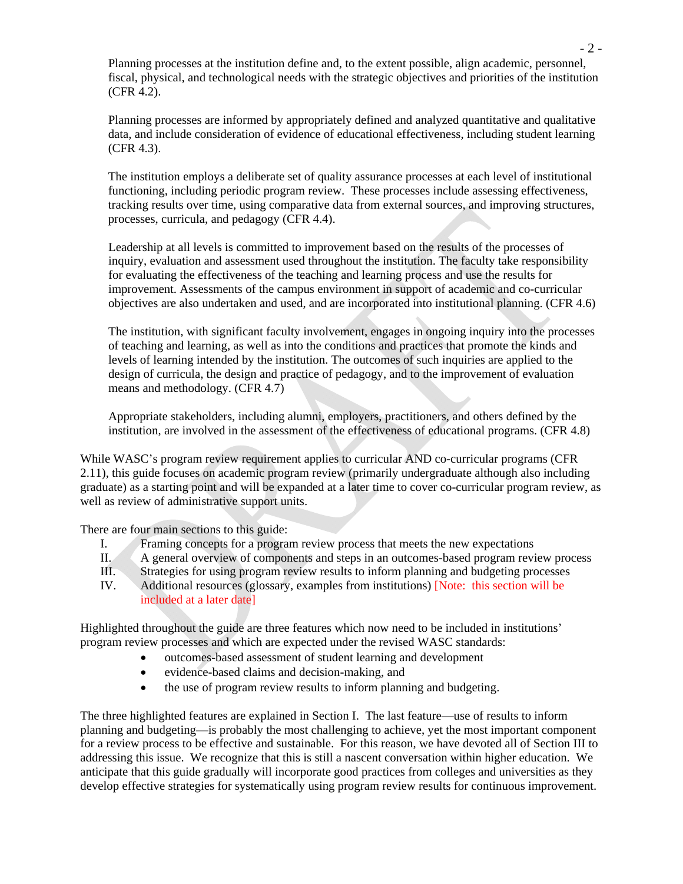Planning processes at the institution define and, to the extent possible, align academic, personnel, fiscal, physical, and technological needs with the strategic objectives and priorities of the institution (CFR 4.2).

Planning processes are informed by appropriately defined and analyzed quantitative and qualitative data, and include consideration of evidence of educational effectiveness, including student learning (CFR 4.3).

The institution employs a deliberate set of quality assurance processes at each level of institutional functioning, including periodic program review. These processes include assessing effectiveness, tracking results over time, using comparative data from external sources, and improving structures, processes, curricula, and pedagogy (CFR 4.4).

Leadership at all levels is committed to improvement based on the results of the processes of inquiry, evaluation and assessment used throughout the institution. The faculty take responsibility for evaluating the effectiveness of the teaching and learning process and use the results for improvement. Assessments of the campus environment in support of academic and co-curricular objectives are also undertaken and used, and are incorporated into institutional planning. (CFR 4.6)

The institution, with significant faculty involvement, engages in ongoing inquiry into the processes of teaching and learning, as well as into the conditions and practices that promote the kinds and levels of learning intended by the institution. The outcomes of such inquiries are applied to the design of curricula, the design and practice of pedagogy, and to the improvement of evaluation means and methodology. (CFR 4.7)

Appropriate stakeholders, including alumni, employers, practitioners, and others defined by the institution, are involved in the assessment of the effectiveness of educational programs. (CFR 4.8)

While WASC's program review requirement applies to curricular AND co-curricular programs (CFR 2.11), this guide focuses on academic program review (primarily undergraduate although also including graduate) as a starting point and will be expanded at a later time to cover co-curricular program review, as well as review of administrative support units.

There are four main sections to this guide:

- I. Framing concepts for a program review process that meets the new expectations
- II. A general overview of components and steps in an outcomes-based program review process
- III. Strategies for using program review results to inform planning and budgeting processes
- IV. Additional resources (glossary, examples from institutions) [Note: this section will be included at a later date]

Highlighted throughout the guide are three features which now need to be included in institutions' program review processes and which are expected under the revised WASC standards:

- outcomes-based assessment of student learning and development
- evidence-based claims and decision-making, and
- the use of program review results to inform planning and budgeting.

The three highlighted features are explained in Section I. The last feature—use of results to inform planning and budgeting—is probably the most challenging to achieve, yet the most important component for a review process to be effective and sustainable. For this reason, we have devoted all of Section III to addressing this issue. We recognize that this is still a nascent conversation within higher education. We anticipate that this guide gradually will incorporate good practices from colleges and universities as they develop effective strategies for systematically using program review results for continuous improvement.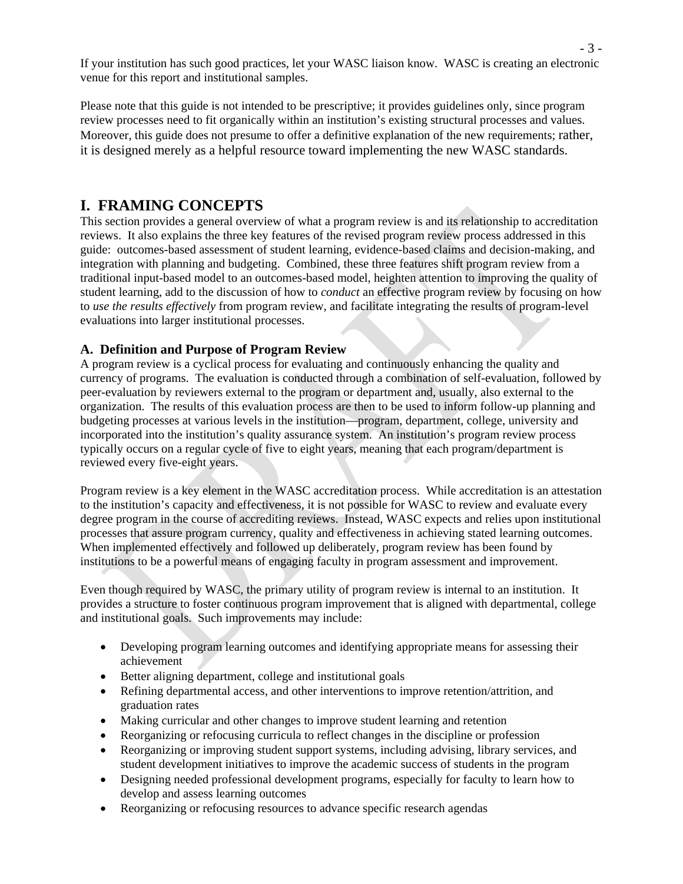If your institution has such good practices, let your WASC liaison know. WASC is creating an electronic venue for this report and institutional samples.

Please note that this guide is not intended to be prescriptive; it provides guidelines only, since program review processes need to fit organically within an institution's existing structural processes and values. Moreover, this guide does not presume to offer a definitive explanation of the new requirements; rather, it is designed merely as a helpful resource toward implementing the new WASC standards.

# **I. FRAMING CONCEPTS**

This section provides a general overview of what a program review is and its relationship to accreditation reviews. It also explains the three key features of the revised program review process addressed in this guide: outcomes-based assessment of student learning, evidence-based claims and decision-making, and integration with planning and budgeting. Combined, these three features shift program review from a traditional input-based model to an outcomes-based model, heighten attention to improving the quality of student learning, add to the discussion of how to *conduct* an effective program review by focusing on how to *use the results effectively* from program review, and facilitate integrating the results of program-level evaluations into larger institutional processes.

# **A. Definition and Purpose of Program Review**

A program review is a cyclical process for evaluating and continuously enhancing the quality and currency of programs. The evaluation is conducted through a combination of self-evaluation, followed by peer-evaluation by reviewers external to the program or department and, usually, also external to the organization. The results of this evaluation process are then to be used to inform follow-up planning and budgeting processes at various levels in the institution—program, department, college, university and incorporated into the institution's quality assurance system. An institution's program review process typically occurs on a regular cycle of five to eight years, meaning that each program/department is reviewed every five-eight years.

Program review is a key element in the WASC accreditation process. While accreditation is an attestation to the institution's capacity and effectiveness, it is not possible for WASC to review and evaluate every degree program in the course of accrediting reviews. Instead, WASC expects and relies upon institutional processes that assure program currency, quality and effectiveness in achieving stated learning outcomes. When implemented effectively and followed up deliberately, program review has been found by institutions to be a powerful means of engaging faculty in program assessment and improvement.

Even though required by WASC, the primary utility of program review is internal to an institution. It provides a structure to foster continuous program improvement that is aligned with departmental, college and institutional goals. Such improvements may include:

- Developing program learning outcomes and identifying appropriate means for assessing their achievement
- Better aligning department, college and institutional goals
- Refining departmental access, and other interventions to improve retention/attrition, and graduation rates
- Making curricular and other changes to improve student learning and retention
- Reorganizing or refocusing curricula to reflect changes in the discipline or profession
- Reorganizing or improving student support systems, including advising, library services, and student development initiatives to improve the academic success of students in the program
- Designing needed professional development programs, especially for faculty to learn how to develop and assess learning outcomes
- Reorganizing or refocusing resources to advance specific research agendas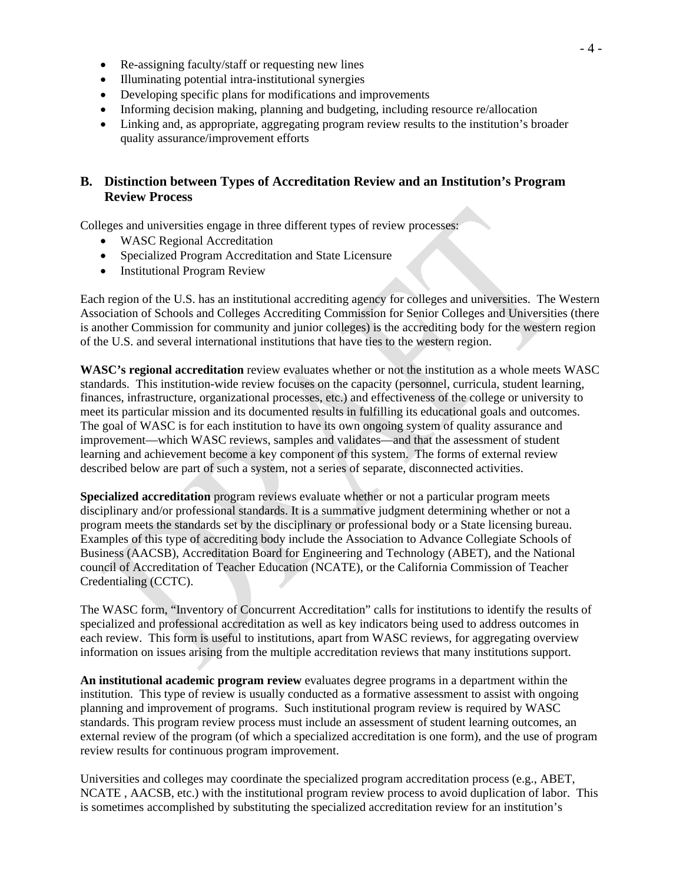- Re-assigning faculty/staff or requesting new lines
- Illuminating potential intra-institutional synergies
- Developing specific plans for modifications and improvements
- Informing decision making, planning and budgeting, including resource re/allocation
- Linking and, as appropriate, aggregating program review results to the institution's broader quality assurance/improvement efforts

# **B. Distinction between Types of Accreditation Review and an Institution's Program Review Process**

Colleges and universities engage in three different types of review processes:

- WASC Regional Accreditation
- Specialized Program Accreditation and State Licensure
- Institutional Program Review

Each region of the U.S. has an institutional accrediting agency for colleges and universities. The Western Association of Schools and Colleges Accrediting Commission for Senior Colleges and Universities (there is another Commission for community and junior colleges) is the accrediting body for the western region of the U.S. and several international institutions that have ties to the western region.

**WASC's regional accreditation** review evaluates whether or not the institution as a whole meets WASC standards. This institution-wide review focuses on the capacity (personnel, curricula, student learning, finances, infrastructure, organizational processes, etc.) and effectiveness of the college or university to meet its particular mission and its documented results in fulfilling its educational goals and outcomes. The goal of WASC is for each institution to have its own ongoing system of quality assurance and improvement—which WASC reviews, samples and validates—and that the assessment of student learning and achievement become a key component of this system. The forms of external review described below are part of such a system, not a series of separate, disconnected activities.

**Specialized accreditation** program reviews evaluate whether or not a particular program meets disciplinary and/or professional standards. It is a summative judgment determining whether or not a program meets the standards set by the disciplinary or professional body or a State licensing bureau. Examples of this type of accrediting body include the Association to Advance Collegiate Schools of Business (AACSB), Accreditation Board for Engineering and Technology (ABET), and the National council of Accreditation of Teacher Education (NCATE), or the California Commission of Teacher Credentialing (CCTC).

The WASC form, "Inventory of Concurrent Accreditation" calls for institutions to identify the results of specialized and professional accreditation as well as key indicators being used to address outcomes in each review. This form is useful to institutions, apart from WASC reviews, for aggregating overview information on issues arising from the multiple accreditation reviews that many institutions support.

**An institutional academic program review** evaluates degree programs in a department within the institution. This type of review is usually conducted as a formative assessment to assist with ongoing planning and improvement of programs. Such institutional program review is required by WASC standards. This program review process must include an assessment of student learning outcomes, an external review of the program (of which a specialized accreditation is one form), and the use of program review results for continuous program improvement.

Universities and colleges may coordinate the specialized program accreditation process (e.g., ABET, NCATE , AACSB, etc.) with the institutional program review process to avoid duplication of labor. This is sometimes accomplished by substituting the specialized accreditation review for an institution's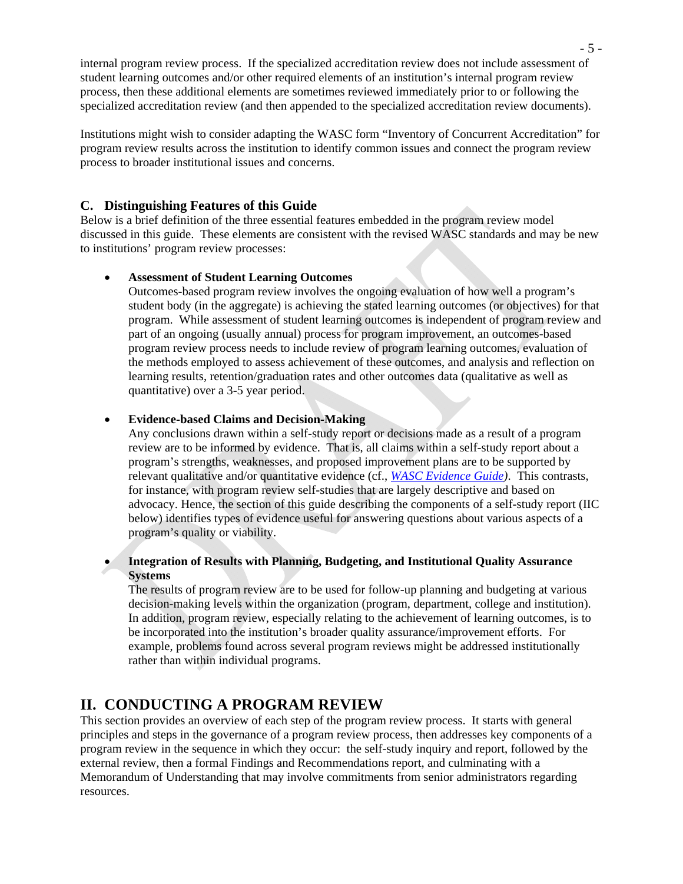internal program review process. If the specialized accreditation review does not include assessment of student learning outcomes and/or other required elements of an institution's internal program review process, then these additional elements are sometimes reviewed immediately prior to or following the specialized accreditation review (and then appended to the specialized accreditation review documents).

Institutions might wish to consider adapting the WASC form "Inventory of Concurrent Accreditation" for program review results across the institution to identify common issues and connect the program review process to broader institutional issues and concerns.

# **C. Distinguishing Features of this Guide**

Below is a brief definition of the three essential features embedded in the program review model discussed in this guide. These elements are consistent with the revised WASC standards and may be new to institutions' program review processes:

#### • **Assessment of Student Learning Outcomes**

Outcomes-based program review involves the ongoing evaluation of how well a program's student body (in the aggregate) is achieving the stated learning outcomes (or objectives) for that program. While assessment of student learning outcomes is independent of program review and part of an ongoing (usually annual) process for program improvement, an outcomes-based program review process needs to include review of program learning outcomes, evaluation of the methods employed to assess achievement of these outcomes, and analysis and reflection on learning results, retention/graduation rates and other outcomes data (qualitative as well as quantitative) over a 3-5 year period.

#### • **Evidence-based Claims and Decision-Making**

Any conclusions drawn within a self-study report or decisions made as a result of a program review are to be informed by evidence. That is, all claims within a self-study report about a program's strengths, weaknesses, and proposed improvement plans are to be supported by relevant qualitative and/or quantitative evidence (cf., *[WASC Evidence Guide\)](http://www.wascsenior.org/findit/files/forms/Evidence_Guide__Jan_02_.pdf)*. This contrasts, for instance, with program review self-studies that are largely descriptive and based on advocacy. Hence, the section of this guide describing the components of a self-study report (IIC below) identifies types of evidence useful for answering questions about various aspects of a program's quality or viability.

• **Integration of Results with Planning, Budgeting, and Institutional Quality Assurance Systems**

The results of program review are to be used for follow-up planning and budgeting at various decision-making levels within the organization (program, department, college and institution). In addition, program review, especially relating to the achievement of learning outcomes, is to be incorporated into the institution's broader quality assurance/improvement efforts. For example, problems found across several program reviews might be addressed institutionally rather than within individual programs.

# **II. CONDUCTING A PROGRAM REVIEW**

This section provides an overview of each step of the program review process. It starts with general principles and steps in the governance of a program review process, then addresses key components of a program review in the sequence in which they occur: the self-study inquiry and report, followed by the external review, then a formal Findings and Recommendations report, and culminating with a Memorandum of Understanding that may involve commitments from senior administrators regarding resources.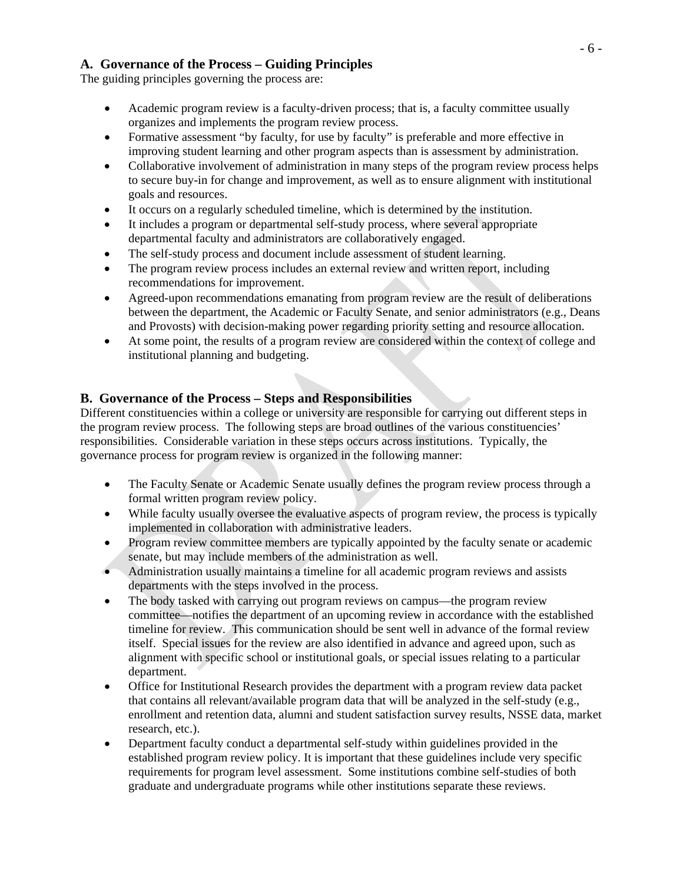# **A. Governance of the Process – Guiding Principles**

The guiding principles governing the process are:

- Academic program review is a faculty-driven process; that is, a faculty committee usually organizes and implements the program review process.
- Formative assessment "by faculty, for use by faculty" is preferable and more effective in improving student learning and other program aspects than is assessment by administration.
- Collaborative involvement of administration in many steps of the program review process helps to secure buy-in for change and improvement, as well as to ensure alignment with institutional goals and resources.
- It occurs on a regularly scheduled timeline, which is determined by the institution.
- It includes a program or departmental self-study process, where several appropriate departmental faculty and administrators are collaboratively engaged.
- The self-study process and document include assessment of student learning.
- The program review process includes an external review and written report, including recommendations for improvement.
- Agreed-upon recommendations emanating from program review are the result of deliberations between the department, the Academic or Faculty Senate, and senior administrators (e.g., Deans and Provosts) with decision-making power regarding priority setting and resource allocation.
- At some point, the results of a program review are considered within the context of college and institutional planning and budgeting.

# **B. Governance of the Process – Steps and Responsibilities**

Different constituencies within a college or university are responsible for carrying out different steps in the program review process. The following steps are broad outlines of the various constituencies' responsibilities. Considerable variation in these steps occurs across institutions. Typically, the governance process for program review is organized in the following manner:

- The Faculty Senate or Academic Senate usually defines the program review process through a formal written program review policy.
- While faculty usually oversee the evaluative aspects of program review, the process is typically implemented in collaboration with administrative leaders.
- Program review committee members are typically appointed by the faculty senate or academic senate, but may include members of the administration as well.
- Administration usually maintains a timeline for all academic program reviews and assists departments with the steps involved in the process.
- The body tasked with carrying out program reviews on campus—the program review committee—notifies the department of an upcoming review in accordance with the established timeline for review. This communication should be sent well in advance of the formal review itself. Special issues for the review are also identified in advance and agreed upon, such as alignment with specific school or institutional goals, or special issues relating to a particular department.
- Office for Institutional Research provides the department with a program review data packet that contains all relevant/available program data that will be analyzed in the self-study (e.g., enrollment and retention data, alumni and student satisfaction survey results, NSSE data, market research, etc.).
- Department faculty conduct a departmental self-study within guidelines provided in the established program review policy. It is important that these guidelines include very specific requirements for program level assessment. Some institutions combine self-studies of both graduate and undergraduate programs while other institutions separate these reviews.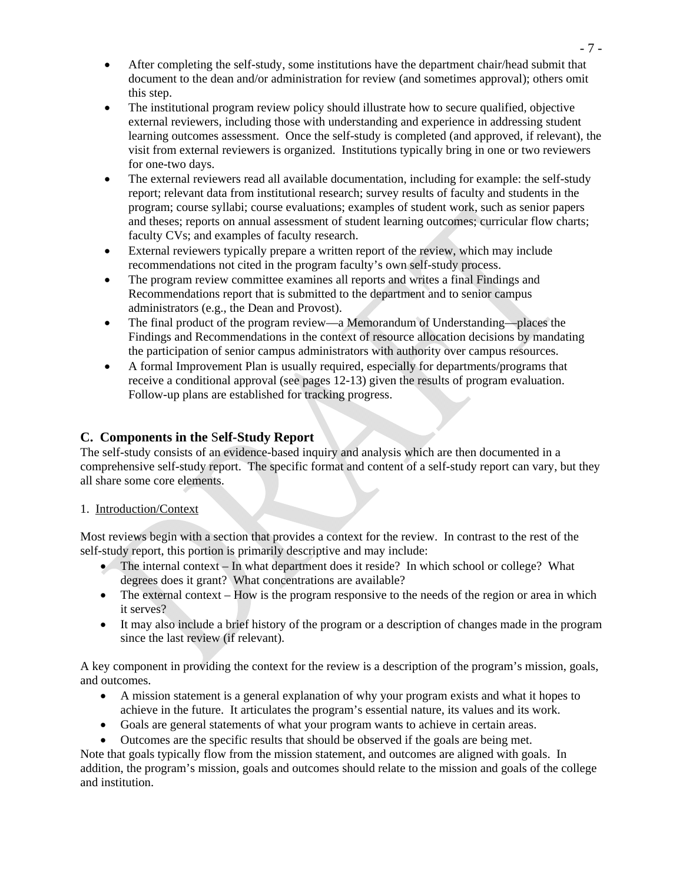- After completing the self-study, some institutions have the department chair/head submit that document to the dean and/or administration for review (and sometimes approval); others omit this step.
- The institutional program review policy should illustrate how to secure qualified, objective external reviewers, including those with understanding and experience in addressing student learning outcomes assessment. Once the self-study is completed (and approved, if relevant), the visit from external reviewers is organized. Institutions typically bring in one or two reviewers for one-two days.
- The external reviewers read all available documentation, including for example: the self-study report; relevant data from institutional research; survey results of faculty and students in the program; course syllabi; course evaluations; examples of student work, such as senior papers and theses; reports on annual assessment of student learning outcomes; curricular flow charts; faculty CVs; and examples of faculty research.
- External reviewers typically prepare a written report of the review, which may include recommendations not cited in the program faculty's own self-study process.
- The program review committee examines all reports and writes a final Findings and Recommendations report that is submitted to the department and to senior campus administrators (e.g., the Dean and Provost).
- The final product of the program review—a Memorandum of Understanding—places the Findings and Recommendations in the context of resource allocation decisions by mandating the participation of senior campus administrators with authority over campus resources.
- A formal Improvement Plan is usually required, especially for departments/programs that receive a conditional approval (see pages 12-13) given the results of program evaluation. Follow-up plans are established for tracking progress.

# **C. Components in the** S**elf-Study Report**

The self-study consists of an evidence-based inquiry and analysis which are then documented in a comprehensive self-study report. The specific format and content of a self-study report can vary, but they all share some core elements.

## 1. Introduction/Context

Most reviews begin with a section that provides a context for the review. In contrast to the rest of the self-study report, this portion is primarily descriptive and may include:

- The internal context In what department does it reside? In which school or college? What degrees does it grant? What concentrations are available?
- The external context How is the program responsive to the needs of the region or area in which it serves?
- It may also include a brief history of the program or a description of changes made in the program since the last review (if relevant).

A key component in providing the context for the review is a description of the program's mission, goals, and outcomes.

- A mission statement is a general explanation of why your program exists and what it hopes to achieve in the future. It articulates the program's essential nature, its values and its work.
- Goals are general statements of what your program wants to achieve in certain areas.
- Outcomes are the specific results that should be observed if the goals are being met.

Note that goals typically flow from the mission statement, and outcomes are aligned with goals. In addition, the program's mission, goals and outcomes should relate to the mission and goals of the college and institution.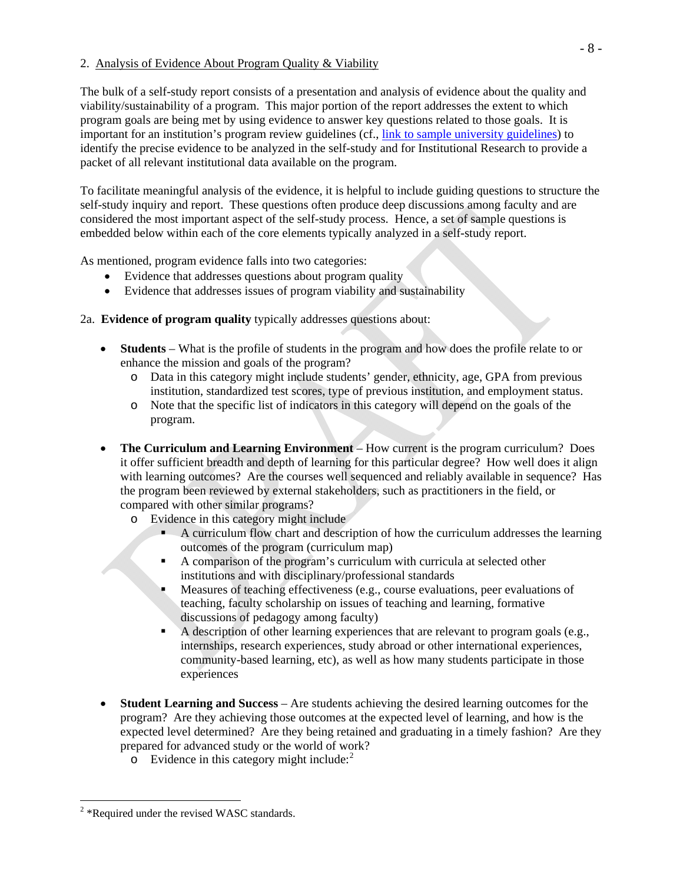#### 2. Analysis of Evidence About Program Quality & Viability

The bulk of a self-study report consists of a presentation and analysis of evidence about the quality and viability/sustainability of a program. This major portion of the report addresses the extent to which program goals are being met by using evidence to answer key questions related to those goals. It is important for an institution's program review guidelines (cf., link to sample university guidelines) to identify the precise evidence to be analyzed in the self-study and for Institutional Research to provide a packet of all relevant institutional data available on the program.

To facilitate meaningful analysis of the evidence, it is helpful to include guiding questions to structure the self-study inquiry and report. These questions often produce deep discussions among faculty and are considered the most important aspect of the self-study process. Hence, a set of sample questions is embedded below within each of the core elements typically analyzed in a self-study report.

As mentioned, program evidence falls into two categories:

- Evidence that addresses questions about program quality
- Evidence that addresses issues of program viability and sustainability

# 2a. **Evidence of program quality** typically addresses questions about:

- **Students** What is the profile of students in the program and how does the profile relate to or enhance the mission and goals of the program?
	- o Data in this category might include students' gender, ethnicity, age, GPA from previous institution, standardized test scores, type of previous institution, and employment status.
	- o Note that the specific list of indicators in this category will depend on the goals of the program.
- **The Curriculum and Learning Environment** How current is the program curriculum? Does it offer sufficient breadth and depth of learning for this particular degree? How well does it align with learning outcomes? Are the courses well sequenced and reliably available in sequence? Has the program been reviewed by external stakeholders, such as practitioners in the field, or compared with other similar programs?
	- o Evidence in this category might include
		- A curriculum flow chart and description of how the curriculum addresses the learning outcomes of the program (curriculum map)
		- A comparison of the program's curriculum with curricula at selected other institutions and with disciplinary/professional standards
		- Measures of teaching effectiveness (e.g., course evaluations, peer evaluations of teaching, faculty scholarship on issues of teaching and learning, formative discussions of pedagogy among faculty)
		- A description of other learning experiences that are relevant to program goals (e.g., internships, research experiences, study abroad or other international experiences, community-based learning, etc), as well as how many students participate in those experiences
- **Student Learning and Success** Are students achieving the desired learning outcomes for the program? Are they achieving those outcomes at the expected level of learning, and how is the expected level determined? Are they being retained and graduating in a timely fashion? Are they prepared for advanced study or the world of work?
	- $\circ$  Evidence in this category might include:<sup>[2](#page-7-0)</sup>

 $\overline{a}$ 

<span id="page-7-0"></span> $2$  \*Required under the revised WASC standards.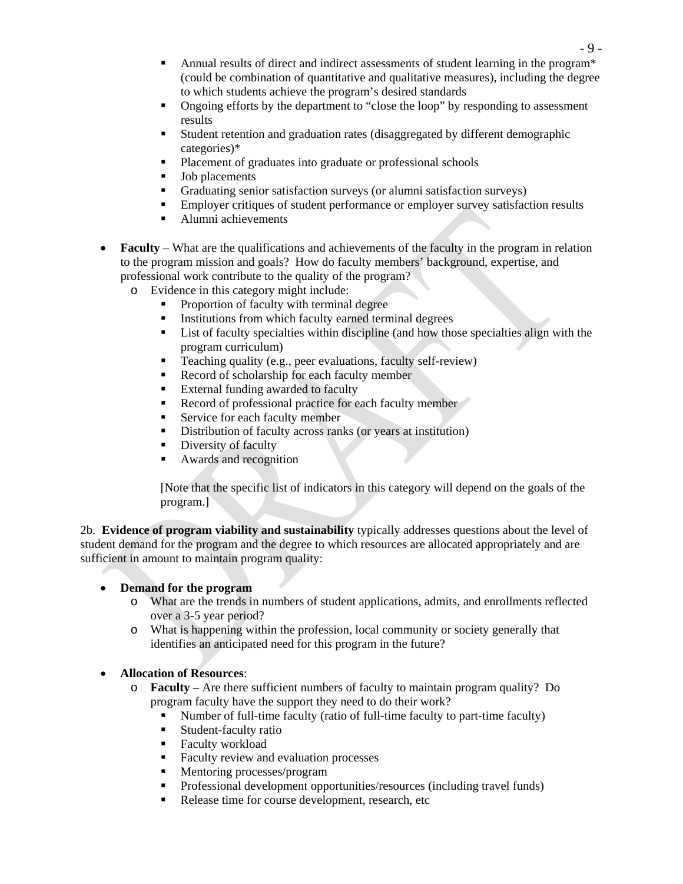- Annual results of direct and indirect assessments of student learning in the program\* (could be combination of quantitative and qualitative measures), including the degree to which students achieve the program's desired standards
- Ongoing efforts by the department to "close the loop" by responding to assessment results
- Student retention and graduation rates (disaggregated by different demographic categories)\*
- **Placement of graduates into graduate or professional schools**
- Job placements
- Graduating senior satisfaction surveys (or alumni satisfaction surveys)
- Employer critiques of student performance or employer survey satisfaction results
- Alumni achievements
- **Faculty** What are the qualifications and achievements of the faculty in the program in relation to the program mission and goals? How do faculty members' background, expertise, and professional work contribute to the quality of the program?
	- o Evidence in this category might include:
		- Proportion of faculty with terminal degree
		- Institutions from which faculty earned terminal degrees
		- List of faculty specialties within discipline (and how those specialties align with the program curriculum)
		- Teaching quality (e.g., peer evaluations, faculty self-review)
		- Record of scholarship for each faculty member
		- **External funding awarded to faculty**
		- Record of professional practice for each faculty member
		- Service for each faculty member
		- Distribution of faculty across ranks (or years at institution)
		- Diversity of faculty
		- Awards and recognition

[Note that the specific list of indicators in this category will depend on the goals of the program.]

2b. **Evidence of program viability and sustainability** typically addresses questions about the level of student demand for the program and the degree to which resources are allocated appropriately and are sufficient in amount to maintain program quality:

## • **Demand for the program**

- o What are the trends in numbers of student applications, admits, and enrollments reflected over a 3-5 year period?
- o What is happening within the profession, local community or society generally that identifies an anticipated need for this program in the future?

## • **Allocation of Resources**:

- o **Faculty** Are there sufficient numbers of faculty to maintain program quality? Do program faculty have the support they need to do their work?
	- Number of full-time faculty (ratio of full-time faculty to part-time faculty)
	- **Student-faculty ratio**
	- **Faculty workload**
	- Faculty review and evaluation processes
	- Mentoring processes/program
	- **Professional development opportunities/resources (including travel funds)**
	- Release time for course development, research, etc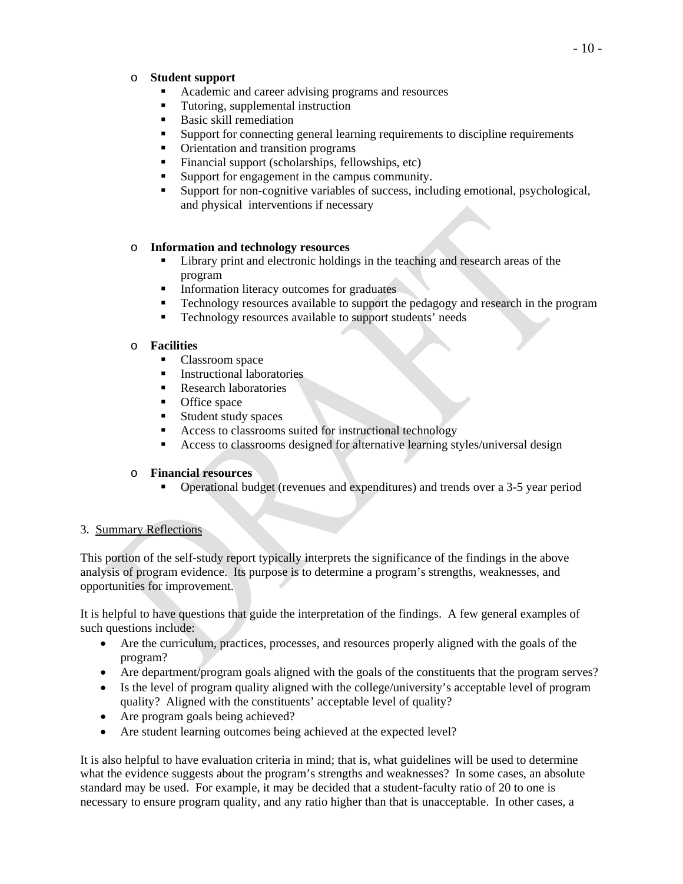#### o **Student support**

- Academic and career advising programs and resources
- Tutoring, supplemental instruction
- Basic skill remediation
- Support for connecting general learning requirements to discipline requirements
- Orientation and transition programs
- Financial support (scholarships, fellowships, etc)
- Support for engagement in the campus community.
- Support for non-cognitive variables of success, including emotional, psychological, and physical interventions if necessary

#### o **Information and technology resources**

- I Library print and electronic holdings in the teaching and research areas of the program
- Information literacy outcomes for graduates
- Technology resources available to support the pedagogy and research in the program
- **Technology resources available to support students' needs**

#### o **Facilities**

- Classroom space
- **Instructional laboratories**
- Research laboratories
- Office space
- **Student study spaces**
- Access to classrooms suited for instructional technology
- Access to classrooms designed for alternative learning styles/universal design

#### o **Financial resources**

Operational budget (revenues and expenditures) and trends over a 3-5 year period

#### 3. Summary Reflections

This portion of the self-study report typically interprets the significance of the findings in the above analysis of program evidence. Its purpose is to determine a program's strengths, weaknesses, and opportunities for improvement.

It is helpful to have questions that guide the interpretation of the findings. A few general examples of such questions include:

- Are the curriculum, practices, processes, and resources properly aligned with the goals of the program?
- Are department/program goals aligned with the goals of the constituents that the program serves?
- Is the level of program quality aligned with the college/university's acceptable level of program quality? Aligned with the constituents' acceptable level of quality?
- Are program goals being achieved?
- Are student learning outcomes being achieved at the expected level?

It is also helpful to have evaluation criteria in mind; that is, what guidelines will be used to determine what the evidence suggests about the program's strengths and weaknesses? In some cases, an absolute standard may be used. For example, it may be decided that a student-faculty ratio of 20 to one is necessary to ensure program quality, and any ratio higher than that is unacceptable. In other cases, a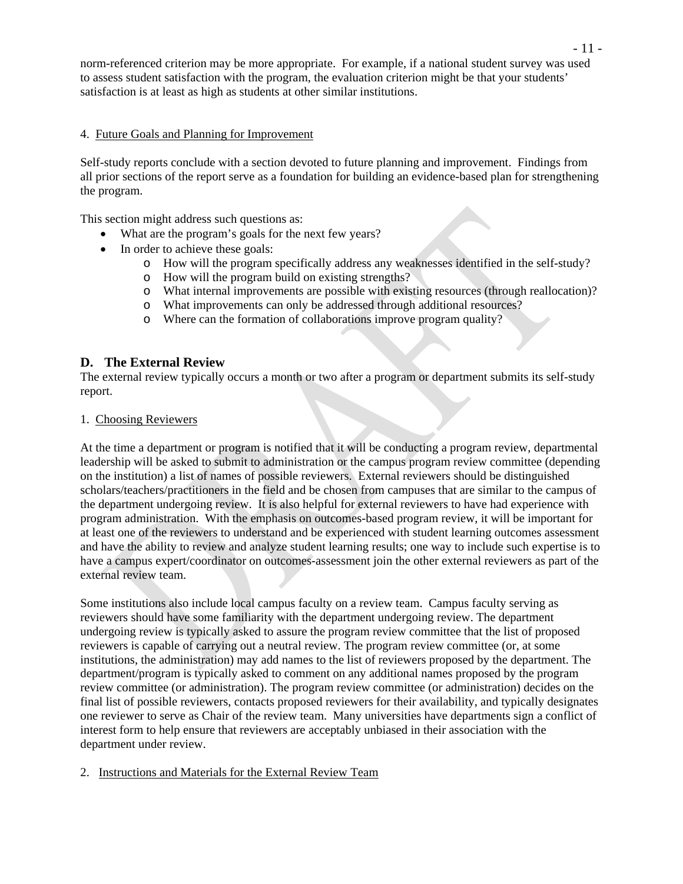norm-referenced criterion may be more appropriate. For example, if a national student survey was used to assess student satisfaction with the program, the evaluation criterion might be that your students' satisfaction is at least as high as students at other similar institutions.

#### 4. Future Goals and Planning for Improvement

Self-study reports conclude with a section devoted to future planning and improvement. Findings from all prior sections of the report serve as a foundation for building an evidence-based plan for strengthening the program.

This section might address such questions as:

- What are the program's goals for the next few years?
- In order to achieve these goals:
	- o How will the program specifically address any weaknesses identified in the self-study?
	- o How will the program build on existing strengths?
	- o What internal improvements are possible with existing resources (through reallocation)?
	- o What improvements can only be addressed through additional resources?
	- o Where can the formation of collaborations improve program quality?

## **D. The External Review**

The external review typically occurs a month or two after a program or department submits its self-study report.

1. Choosing Reviewers

At the time a department or program is notified that it will be conducting a program review, departmental leadership will be asked to submit to administration or the campus program review committee (depending on the institution) a list of names of possible reviewers. External reviewers should be distinguished scholars/teachers/practitioners in the field and be chosen from campuses that are similar to the campus of the department undergoing review. It is also helpful for external reviewers to have had experience with program administration. With the emphasis on outcomes-based program review, it will be important for at least one of the reviewers to understand and be experienced with student learning outcomes assessment and have the ability to review and analyze student learning results; one way to include such expertise is to have a campus expert/coordinator on outcomes-assessment join the other external reviewers as part of the external review team.

Some institutions also include local campus faculty on a review team. Campus faculty serving as reviewers should have some familiarity with the department undergoing review. The department undergoing review is typically asked to assure the program review committee that the list of proposed reviewers is capable of carrying out a neutral review. The program review committee (or, at some institutions, the administration) may add names to the list of reviewers proposed by the department. The department/program is typically asked to comment on any additional names proposed by the program review committee (or administration). The program review committee (or administration) decides on the final list of possible reviewers, contacts proposed reviewers for their availability, and typically designates one reviewer to serve as Chair of the review team. Many universities have departments sign a conflict of interest form to help ensure that reviewers are acceptably unbiased in their association with the department under review.

#### 2. Instructions and Materials for the External Review Team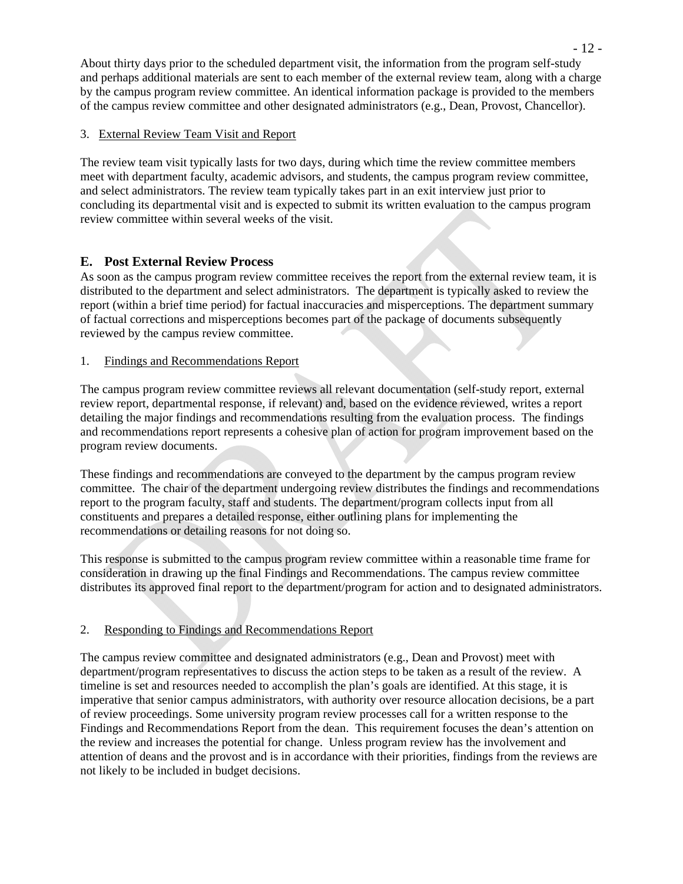About thirty days prior to the scheduled department visit, the information from the program self-study and perhaps additional materials are sent to each member of the external review team, along with a charge by the campus program review committee. An identical information package is provided to the members of the campus review committee and other designated administrators (e.g., Dean, Provost, Chancellor).

#### 3. External Review Team Visit and Report

The review team visit typically lasts for two days, during which time the review committee members meet with department faculty, academic advisors, and students, the campus program review committee, and select administrators. The review team typically takes part in an exit interview just prior to concluding its departmental visit and is expected to submit its written evaluation to the campus program review committee within several weeks of the visit.

# **E. Post External Review Process**

As soon as the campus program review committee receives the report from the external review team, it is distributed to the department and select administrators. The department is typically asked to review the report (within a brief time period) for factual inaccuracies and misperceptions. The department summary of factual corrections and misperceptions becomes part of the package of documents subsequently reviewed by the campus review committee.

#### 1. Findings and Recommendations Report

The campus program review committee reviews all relevant documentation (self-study report, external review report, departmental response, if relevant) and, based on the evidence reviewed, writes a report detailing the major findings and recommendations resulting from the evaluation process. The findings and recommendations report represents a cohesive plan of action for program improvement based on the program review documents.

These findings and recommendations are conveyed to the department by the campus program review committee. The chair of the department undergoing review distributes the findings and recommendations report to the program faculty, staff and students. The department/program collects input from all constituents and prepares a detailed response, either outlining plans for implementing the recommendations or detailing reasons for not doing so.

This response is submitted to the campus program review committee within a reasonable time frame for consideration in drawing up the final Findings and Recommendations. The campus review committee distributes its approved final report to the department/program for action and to designated administrators.

## 2. Responding to Findings and Recommendations Report

The campus review committee and designated administrators (e.g., Dean and Provost) meet with department/program representatives to discuss the action steps to be taken as a result of the review. A timeline is set and resources needed to accomplish the plan's goals are identified. At this stage, it is imperative that senior campus administrators, with authority over resource allocation decisions, be a part of review proceedings. Some university program review processes call for a written response to the Findings and Recommendations Report from the dean. This requirement focuses the dean's attention on the review and increases the potential for change. Unless program review has the involvement and attention of deans and the provost and is in accordance with their priorities, findings from the reviews are not likely to be included in budget decisions.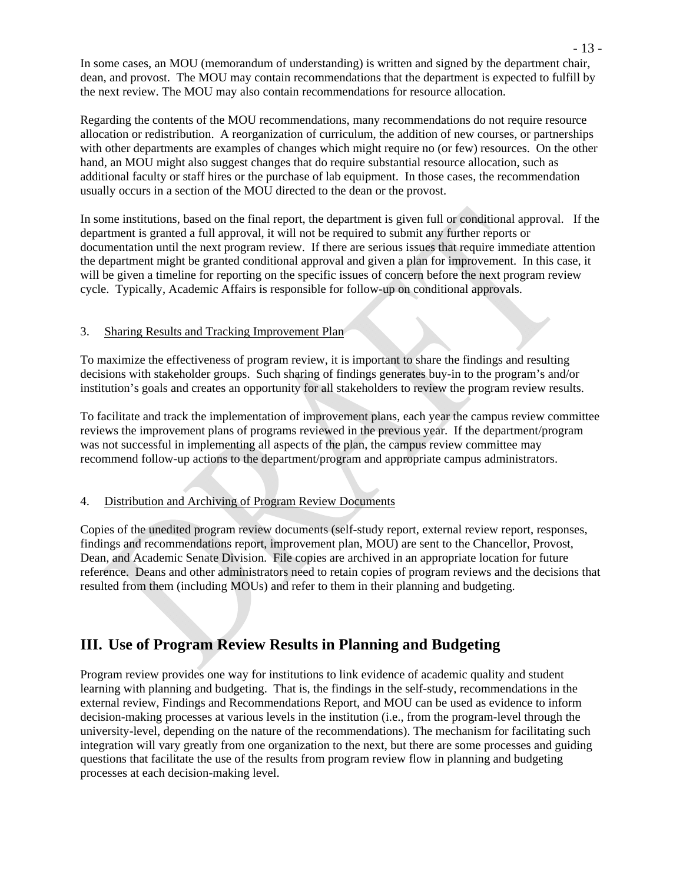In some cases, an MOU (memorandum of understanding) is written and signed by the department chair, dean, and provost. The MOU may contain recommendations that the department is expected to fulfill by the next review. The MOU may also contain recommendations for resource allocation.

Regarding the contents of the MOU recommendations, many recommendations do not require resource allocation or redistribution. A reorganization of curriculum, the addition of new courses, or partnerships with other departments are examples of changes which might require no (or few) resources. On the other hand, an MOU might also suggest changes that do require substantial resource allocation, such as additional faculty or staff hires or the purchase of lab equipment. In those cases, the recommendation usually occurs in a section of the MOU directed to the dean or the provost.

In some institutions, based on the final report, the department is given full or conditional approval. If the department is granted a full approval, it will not be required to submit any further reports or documentation until the next program review. If there are serious issues that require immediate attention the department might be granted conditional approval and given a plan for improvement. In this case, it will be given a timeline for reporting on the specific issues of concern before the next program review cycle. Typically, Academic Affairs is responsible for follow-up on conditional approvals.

# 3. Sharing Results and Tracking Improvement Plan

To maximize the effectiveness of program review, it is important to share the findings and resulting decisions with stakeholder groups. Such sharing of findings generates buy-in to the program's and/or institution's goals and creates an opportunity for all stakeholders to review the program review results.

To facilitate and track the implementation of improvement plans, each year the campus review committee reviews the improvement plans of programs reviewed in the previous year. If the department/program was not successful in implementing all aspects of the plan, the campus review committee may recommend follow-up actions to the department/program and appropriate campus administrators.

## 4. Distribution and Archiving of Program Review Documents

Copies of the unedited program review documents (self-study report, external review report, responses, findings and recommendations report, improvement plan, MOU) are sent to the Chancellor, Provost, Dean, and Academic Senate Division. File copies are archived in an appropriate location for future reference. Deans and other administrators need to retain copies of program reviews and the decisions that resulted from them (including MOUs) and refer to them in their planning and budgeting.

# **III. Use of Program Review Results in Planning and Budgeting**

Program review provides one way for institutions to link evidence of academic quality and student learning with planning and budgeting. That is, the findings in the self-study, recommendations in the external review, Findings and Recommendations Report, and MOU can be used as evidence to inform decision-making processes at various levels in the institution (i.e., from the program-level through the university-level, depending on the nature of the recommendations). The mechanism for facilitating such integration will vary greatly from one organization to the next, but there are some processes and guiding questions that facilitate the use of the results from program review flow in planning and budgeting processes at each decision-making level.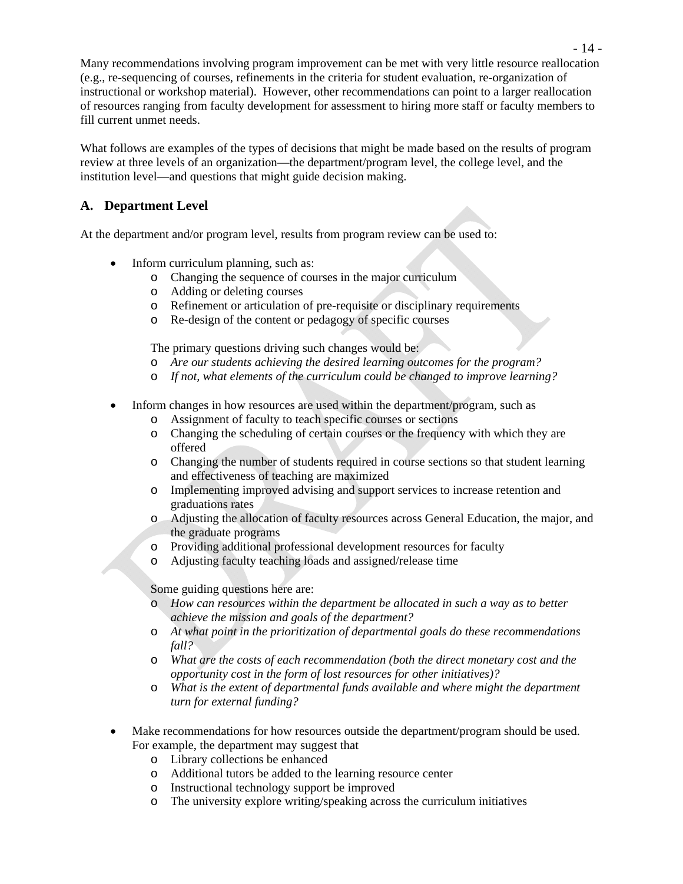Many recommendations involving program improvement can be met with very little resource reallocation (e.g., re-sequencing of courses, refinements in the criteria for student evaluation, re-organization of instructional or workshop material). However, other recommendations can point to a larger reallocation of resources ranging from faculty development for assessment to hiring more staff or faculty members to fill current unmet needs.

What follows are examples of the types of decisions that might be made based on the results of program review at three levels of an organization—the department/program level, the college level, and the institution level—and questions that might guide decision making.

# **A. Department Level**

At the department and/or program level, results from program review can be used to:

- Inform curriculum planning, such as:
	- o Changing the sequence of courses in the major curriculum
	- o Adding or deleting courses
	- o Refinement or articulation of pre-requisite or disciplinary requirements
	- o Re-design of the content or pedagogy of specific courses

The primary questions driving such changes would be:

- o *Are our students achieving the desired learning outcomes for the program?*
- o *If not, what elements of the curriculum could be changed to improve learning?*
- Inform changes in how resources are used within the department/program, such as
	- o Assignment of faculty to teach specific courses or sections
	- o Changing the scheduling of certain courses or the frequency with which they are offered
	- o Changing the number of students required in course sections so that student learning and effectiveness of teaching are maximized
	- o Implementing improved advising and support services to increase retention and graduations rates
	- o Adjusting the allocation of faculty resources across General Education, the major, and the graduate programs
	- o Providing additional professional development resources for faculty
	- o Adjusting faculty teaching loads and assigned/release time

Some guiding questions here are:

- o *How can resources within the department be allocated in such a way as to better achieve the mission and goals of the department?*
- o *At what point in the prioritization of departmental goals do these recommendations fall?*
- o *What are the costs of each recommendation (both the direct monetary cost and the opportunity cost in the form of lost resources for other initiatives)?*
- o *What is the extent of departmental funds available and where might the department turn for external funding?*
- Make recommendations for how resources outside the department/program should be used. For example, the department may suggest that
	- o Library collections be enhanced
	- o Additional tutors be added to the learning resource center
	- o Instructional technology support be improved
	- o The university explore writing/speaking across the curriculum initiatives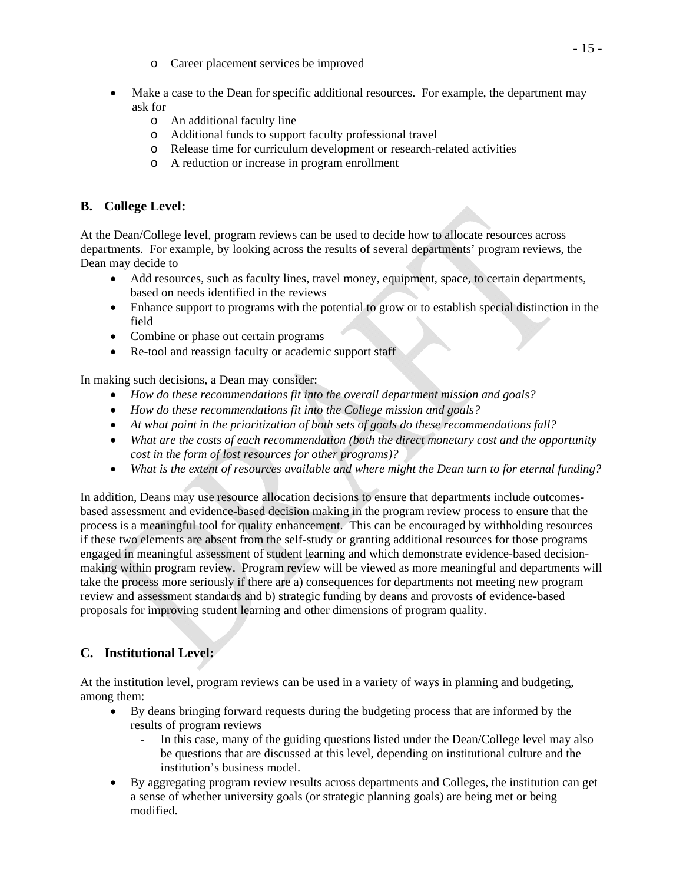- o Career placement services be improved
- Make a case to the Dean for specific additional resources. For example, the department may ask for
	- o An additional faculty line
	- o Additional funds to support faculty professional travel
	- o Release time for curriculum development or research-related activities
	- o A reduction or increase in program enrollment

# **B. College Level:**

At the Dean/College level, program reviews can be used to decide how to allocate resources across departments. For example, by looking across the results of several departments' program reviews, the Dean may decide to

- Add resources, such as faculty lines, travel money, equipment, space, to certain departments, based on needs identified in the reviews
- Enhance support to programs with the potential to grow or to establish special distinction in the field
- Combine or phase out certain programs
- Re-tool and reassign faculty or academic support staff

In making such decisions, a Dean may consider:

- *How do these recommendations fit into the overall department mission and goals?*
- *How do these recommendations fit into the College mission and goals?*
- *At what point in the prioritization of both sets of goals do these recommendations fall?*
- *What are the costs of each recommendation (both the direct monetary cost and the opportunity cost in the form of lost resources for other programs)?*
- *What is the extent of resources available and where might the Dean turn to for eternal funding?*

In addition, Deans may use resource allocation decisions to ensure that departments include outcomesbased assessment and evidence-based decision making in the program review process to ensure that the process is a meaningful tool for quality enhancement. This can be encouraged by withholding resources if these two elements are absent from the self-study or granting additional resources for those programs engaged in meaningful assessment of student learning and which demonstrate evidence-based decisionmaking within program review. Program review will be viewed as more meaningful and departments will take the process more seriously if there are a) consequences for departments not meeting new program review and assessment standards and b) strategic funding by deans and provosts of evidence-based proposals for improving student learning and other dimensions of program quality.

# **C. Institutional Level:**

At the institution level, program reviews can be used in a variety of ways in planning and budgeting, among them:

- By deans bringing forward requests during the budgeting process that are informed by the results of program reviews
	- In this case, many of the guiding questions listed under the Dean/College level may also be questions that are discussed at this level, depending on institutional culture and the institution's business model.
- By aggregating program review results across departments and Colleges, the institution can get a sense of whether university goals (or strategic planning goals) are being met or being modified.